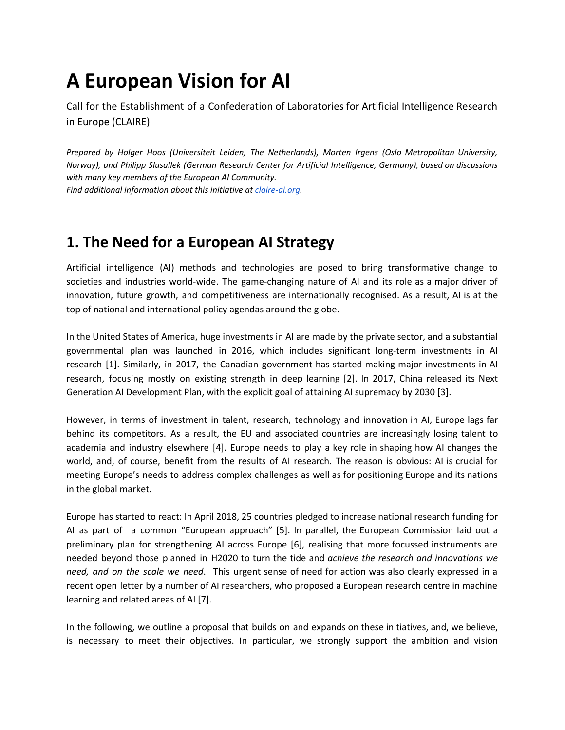# **A European Vision for AI**

Call for the Establishment of a Confederation of Laboratories for Artificial Intelligence Research in Europe (CLAIRE)

*Prepared by Holger Hoos (Universiteit Leiden, The Netherlands), Morten Irgens (Oslo Metropolitan University, Norway), and Philipp Slusallek (German Research Center for Artificial Intelligence, Germany), based on discussions with many key members of the European AI Community.*

*Find additional information about this initiative at [claire-ai.org.](http://claire-ai.org/)*

### **1. The Need for a European AI Strategy**

Artificial intelligence (AI) methods and technologies are posed to bring transformative change to societies and industries world-wide. The game-changing nature of AI and its role as a major driver of innovation, future growth, and competitiveness are internationally recognised. As a result, AI is at the top of national and international policy agendas around the globe.

In the United States of America, huge investments in AI are made by the private sector, and a substantial governmental plan was launched in 2016, which includes significant long-term investments in AI research [1]. Similarly, in 2017, the Canadian government has started making major investments in AI research, focusing mostly on existing strength in deep learning [2]. In 2017, China released its Next Generation AI Development Plan, with the explicit goal of attaining AI supremacy by 2030 [3].

However, in terms of investment in talent, research, technology and innovation in AI, Europe lags far behind its competitors. As a result, the EU and associated countries are increasingly losing talent to academia and industry elsewhere [4]. Europe needs to play a key role in shaping how AI changes the world, and, of course, benefit from the results of AI research. The reason is obvious: AI is crucial for meeting Europe's needs to address complex challenges as well as for positioning Europe and its nations in the global market.

Europe has started to react: In April 2018, 25 countries pledged to increase national research funding for AI as part of a common "European approach" [5]. In parallel, the European Commission laid out a preliminary plan for strengthening AI across Europe [6], realising that more focussed instruments are needed beyond those planned in H2020 to turn the tide and *achieve the research and innovations we need, and on the scale we need*. This urgent sense of need for action was also clearly expressed in a recent open letter by a number of AI researchers, who proposed a European research centre in machine learning and related areas of AI [7].

In the following, we outline a proposal that builds on and expands on these initiatives, and, we believe, is necessary to meet their objectives. In particular, we strongly support the ambition and vision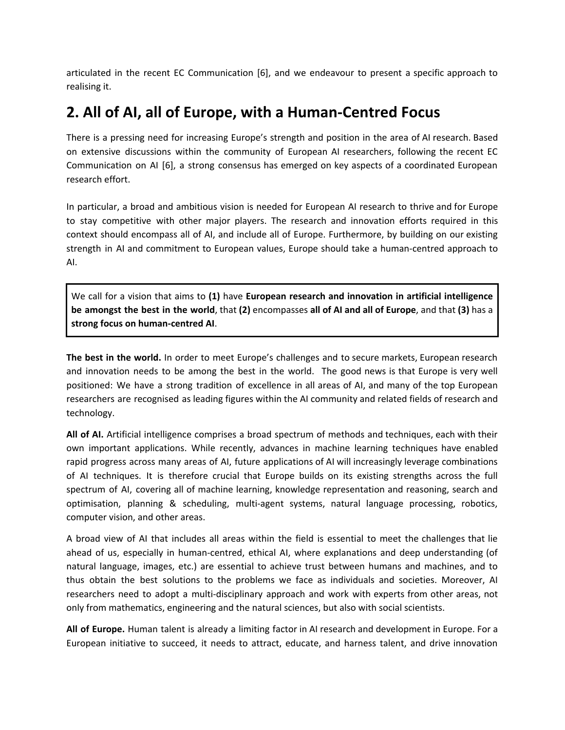articulated in the recent EC Communication [6], and we endeavour to present a specific approach to realising it.

#### **2. All of AI, all of Europe, with a Human-Centred Focus**

There is a pressing need for increasing Europe's strength and position in the area of AI research. Based on extensive discussions within the community of European AI researchers, following the recent EC Communication on AI [6], a strong consensus has emerged on key aspects of a coordinated European research effort.

In particular, a broad and ambitious vision is needed for European AI research to thrive and for Europe to stay competitive with other major players. The research and innovation efforts required in this context should encompass all of AI, and include all of Europe. Furthermore, by building on our existing strength in AI and commitment to European values, Europe should take a human-centred approach to AI.

We call for a vision that aims to **(1)** have **European research and innovation in artificial intelligence be amongst the best in the world**, that **(2)** encompasses **all of AI and all of Europe**, and that **(3)** has a **strong focus on human-centred AI**.

**The best in the world.** In order to meet Europe's challenges and to secure markets, European research and innovation needs to be among the best in the world. The good news is that Europe is very well positioned: We have a strong tradition of excellence in all areas of AI, and many of the top European researchers are recognised as leading figures within the AI community and related fields of research and technology.

**All of AI.** Artificial intelligence comprises a broad spectrum of methods and techniques, each with their own important applications. While recently, advances in machine learning techniques have enabled rapid progress across many areas of AI, future applications of AI will increasingly leverage combinations of AI techniques. It is therefore crucial that Europe builds on its existing strengths across the full spectrum of AI, covering all of machine learning, knowledge representation and reasoning, search and optimisation, planning & scheduling, multi-agent systems, natural language processing, robotics, computer vision, and other areas.

A broad view of AI that includes all areas within the field is essential to meet the challenges that lie ahead of us, especially in human-centred, ethical AI, where explanations and deep understanding (of natural language, images, etc.) are essential to achieve trust between humans and machines, and to thus obtain the best solutions to the problems we face as individuals and societies. Moreover, AI researchers need to adopt a multi-disciplinary approach and work with experts from other areas, not only from mathematics, engineering and the natural sciences, but also with social scientists.

**All of Europe.** Human talent is already a limiting factor in AI research and development in Europe. For a European initiative to succeed, it needs to attract, educate, and harness talent, and drive innovation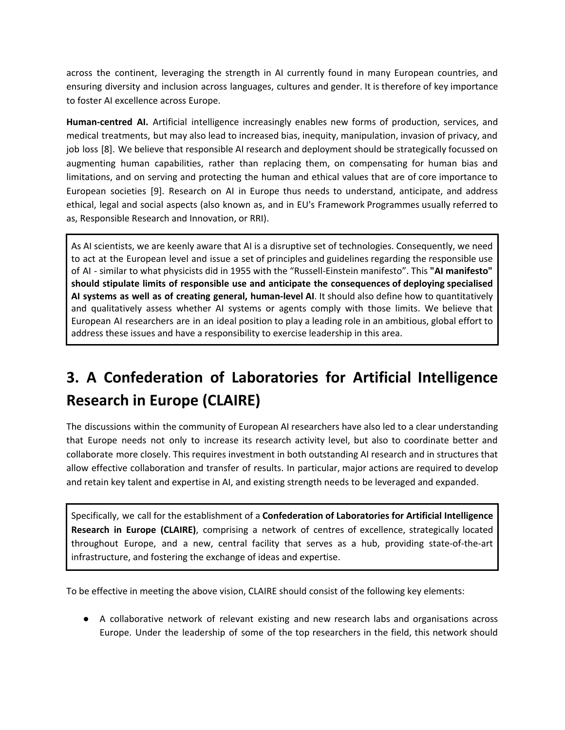across the continent, leveraging the strength in AI currently found in many European countries, and ensuring diversity and inclusion across languages, cultures and gender. It is therefore of key importance to foster AI excellence across Europe.

**Human-centred AI.** Artificial intelligence increasingly enables new forms of production, services, and medical treatments, but may also lead to increased bias, inequity, manipulation, invasion of privacy, and job loss [8]. We believe that responsible AI research and deployment should be strategically focussed on augmenting human capabilities, rather than replacing them, on compensating for human bias and limitations, and on serving and protecting the human and ethical values that are of core importance to European societies [9]. Research on AI in Europe thus needs to understand, anticipate, and address ethical, legal and social aspects (also known as, and in EU's Framework Programmes usually referred to as, Responsible Research and Innovation, or RRI).

As AI scientists, we are keenly aware that AI is a disruptive set of technologies. Consequently, we need to act at the European level and issue a set of principles and guidelines regarding the responsible use of AI - similar to what physicists did in 1955 with the "Russell-Einstein manifesto". This **"AI manifesto" should stipulate limits of responsible use and anticipate the consequences of deploying specialised AI systems as well as of creating general, human-level AI**. It should also define how to quantitatively and qualitatively assess whether AI systems or agents comply with those limits. We believe that European AI researchers are in an ideal position to play a leading role in an ambitious, global effort to address these issues and have a responsibility to exercise leadership in this area.

# **3. A Confederation of Laboratories for Artificial Intelligence Research in Europe (CLAIRE)**

The discussions within the community of European AI researchers have also led to a clear understanding that Europe needs not only to increase its research activity level, but also to coordinate better and collaborate more closely. This requires investment in both outstanding AI research and in structures that allow effective collaboration and transfer of results. In particular, major actions are required to develop and retain key talent and expertise in AI, and existing strength needs to be leveraged and expanded.

Specifically, we call for the establishment of a **Confederation of Laboratories for Artificial Intelligence Research in Europe (CLAIRE)**, comprising a network of centres of excellence, strategically located throughout Europe, and a new, central facility that serves as a hub, providing state-of-the-art infrastructure, and fostering the exchange of ideas and expertise.

To be effective in meeting the above vision, CLAIRE should consist of the following key elements:

● A collaborative network of relevant existing and new research labs and organisations across Europe. Under the leadership of some of the top researchers in the field, this network should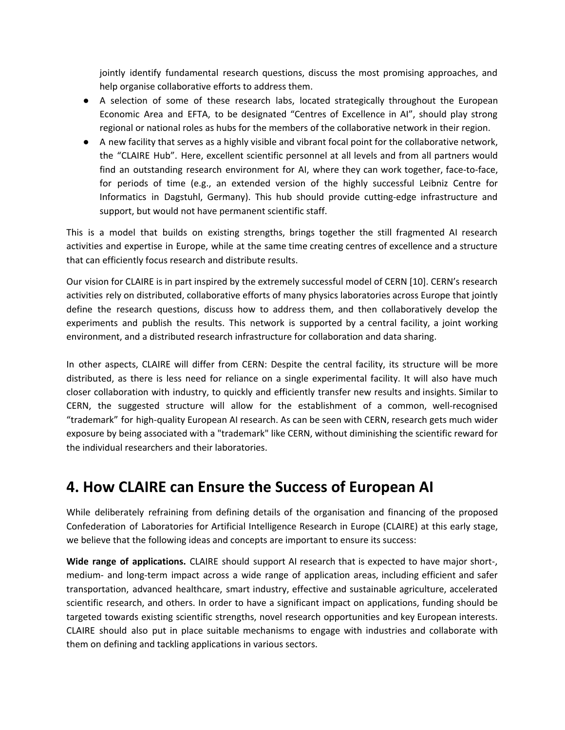jointly identify fundamental research questions, discuss the most promising approaches, and help organise collaborative efforts to address them.

- A selection of some of these research labs, located strategically throughout the European Economic Area and EFTA, to be designated "Centres of Excellence in AI", should play strong regional or national roles as hubs for the members of the collaborative network in their region.
- A new facility that serves as a highly visible and vibrant focal point for the collaborative network, the "CLAIRE Hub". Here, excellent scientific personnel at all levels and from all partners would find an outstanding research environment for AI, where they can work together, face-to-face, for periods of time (e.g., an extended version of the highly successful Leibniz Centre for Informatics in Dagstuhl, Germany). This hub should provide cutting-edge infrastructure and support, but would not have permanent scientific staff.

This is a model that builds on existing strengths, brings together the still fragmented AI research activities and expertise in Europe, while at the same time creating centres of excellence and a structure that can efficiently focus research and distribute results.

Our vision for CLAIRE is in part inspired by the extremely successful model of CERN [10]. CERN's research activities rely on distributed, collaborative efforts of many physics laboratories across Europe that jointly define the research questions, discuss how to address them, and then collaboratively develop the experiments and publish the results. This network is supported by a central facility, a joint working environment, and a distributed research infrastructure for collaboration and data sharing.

In other aspects, CLAIRE will differ from CERN: Despite the central facility, its structure will be more distributed, as there is less need for reliance on a single experimental facility. It will also have much closer collaboration with industry, to quickly and efficiently transfer new results and insights. Similar to CERN, the suggested structure will allow for the establishment of a common, well-recognised "trademark" for high-quality European AI research. As can be seen with CERN, research gets much wider exposure by being associated with a "trademark" like CERN, without diminishing the scientific reward for the individual researchers and their laboratories.

### **4. How CLAIRE can Ensure the Success of European AI**

While deliberately refraining from defining details of the organisation and financing of the proposed Confederation of Laboratories for Artificial Intelligence Research in Europe (CLAIRE) at this early stage, we believe that the following ideas and concepts are important to ensure its success:

**Wide range of applications.** CLAIRE should support AI research that is expected to have major short-, medium- and long-term impact across a wide range of application areas, including efficient and safer transportation, advanced healthcare, smart industry, effective and sustainable agriculture, accelerated scientific research, and others. In order to have a significant impact on applications, funding should be targeted towards existing scientific strengths, novel research opportunities and key European interests. CLAIRE should also put in place suitable mechanisms to engage with industries and collaborate with them on defining and tackling applications in various sectors.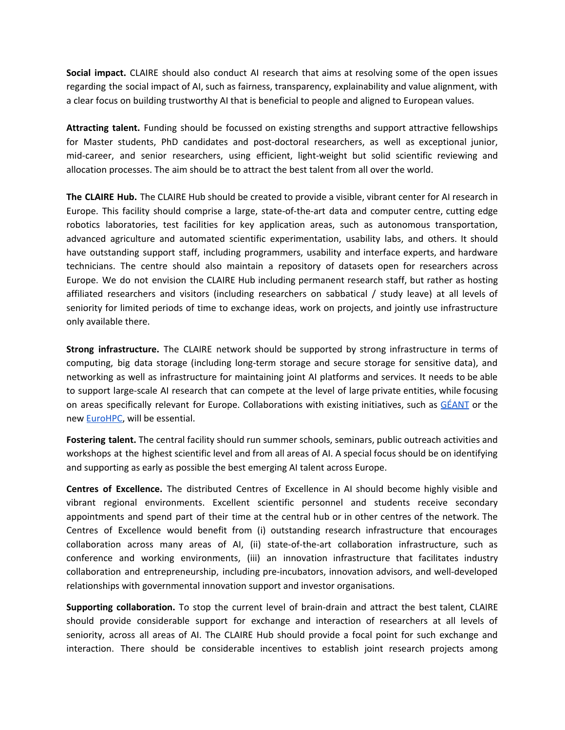**Social impact.** CLAIRE should also conduct AI research that aims at resolving some of the open issues regarding the social impact of AI, such as fairness, transparency, explainability and value alignment, with a clear focus on building trustworthy AI that is beneficial to people and aligned to European values.

**Attracting talent.** Funding should be focussed on existing strengths and support attractive fellowships for Master students, PhD candidates and post-doctoral researchers, as well as exceptional junior, mid-career, and senior researchers, using efficient, light-weight but solid scientific reviewing and allocation processes. The aim should be to attract the best talent from all over the world.

**The CLAIRE Hub.** The CLAIRE Hub should be created to provide a visible, vibrant center for AI research in Europe. This facility should comprise a large, state-of-the-art data and computer centre, cutting edge robotics laboratories, test facilities for key application areas, such as autonomous transportation, advanced agriculture and automated scientific experimentation, usability labs, and others. It should have outstanding support staff, including programmers, usability and interface experts, and hardware technicians. The centre should also maintain a repository of datasets open for researchers across Europe. We do not envision the CLAIRE Hub including permanent research staff, but rather as hosting affiliated researchers and visitors (including researchers on sabbatical / study leave) at all levels of seniority for limited periods of time to exchange ideas, work on projects, and jointly use infrastructure only available there.

**Strong infrastructure.** The CLAIRE network should be supported by strong infrastructure in terms of computing, big data storage (including long-term storage and secure storage for sensitive data), and networking as well as infrastructure for maintaining joint AI platforms and services. It needs to be able to support large-scale AI research that can compete at the level of large private entities, while focusing on areas specifically relevant for Europe. Collaborations with existing initiatives, such as  $GÉANT$  or the new [EuroHPC,](https://ec.europa.eu/digital-single-market/en/eurohpc-joint-undertaking) will be essential.

**Fostering talent.** The central facility should run summer schools, seminars, public outreach activities and workshops at the highest scientific level and from all areas of AI. A special focus should be on identifying and supporting as early as possible the best emerging AI talent across Europe.

**Centres of Excellence.** The distributed Centres of Excellence in AI should become highly visible and vibrant regional environments. Excellent scientific personnel and students receive secondary appointments and spend part of their time at the central hub or in other centres of the network. The Centres of Excellence would benefit from (i) outstanding research infrastructure that encourages collaboration across many areas of AI, (ii) state-of-the-art collaboration infrastructure, such as conference and working environments, (iii) an innovation infrastructure that facilitates industry collaboration and entrepreneurship, including pre-incubators, innovation advisors, and well-developed relationships with governmental innovation support and investor organisations.

**Supporting collaboration.** To stop the current level of brain-drain and attract the best talent, CLAIRE should provide considerable support for exchange and interaction of researchers at all levels of seniority, across all areas of AI. The CLAIRE Hub should provide a focal point for such exchange and interaction. There should be considerable incentives to establish joint research projects among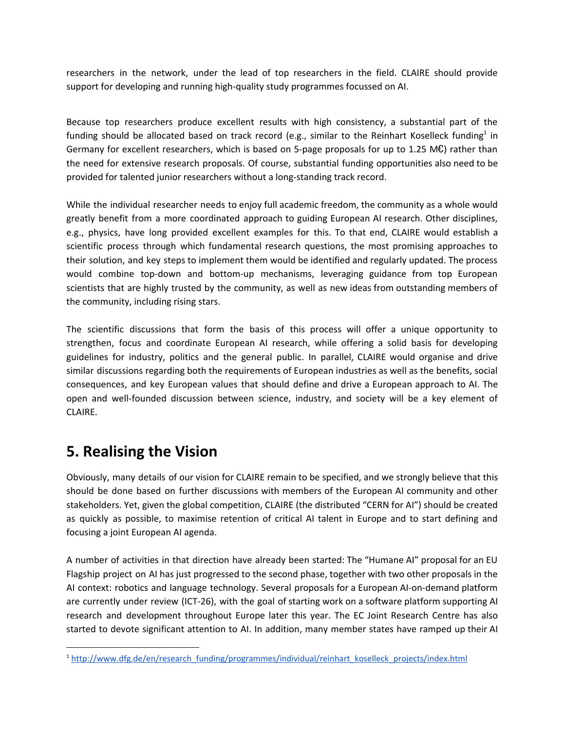researchers in the network, under the lead of top researchers in the field. CLAIRE should provide support for developing and running high-quality study programmes focussed on AI.

Because top researchers produce excellent results with high consistency, a substantial part of the funding should be allocated based on track record (e.g., similar to the Reinhart Koselleck funding<sup>1</sup> in Germany for excellent researchers, which is based on 5-page proposals for up to 1.25 M $\epsilon$ ) rather than the need for extensive research proposals. Of course, substantial funding opportunities also need to be provided for talented junior researchers without a long-standing track record.

While the individual researcher needs to enjoy full academic freedom, the community as a whole would greatly benefit from a more coordinated approach to guiding European AI research. Other disciplines, e.g., physics, have long provided excellent examples for this. To that end, CLAIRE would establish a scientific process through which fundamental research questions, the most promising approaches to their solution, and key steps to implement them would be identified and regularly updated. The process would combine top-down and bottom-up mechanisms, leveraging guidance from top European scientists that are highly trusted by the community, as well as new ideas from outstanding members of the community, including rising stars.

The scientific discussions that form the basis of this process will offer a unique opportunity to strengthen, focus and coordinate European AI research, while offering a solid basis for developing guidelines for industry, politics and the general public. In parallel, CLAIRE would organise and drive similar discussions regarding both the requirements of European industries as well as the benefits, social consequences, and key European values that should define and drive a European approach to AI. The open and well-founded discussion between science, industry, and society will be a key element of CLAIRE.

# **5. Realising the Vision**

Obviously, many details of our vision for CLAIRE remain to be specified, and we strongly believe that this should be done based on further discussions with members of the European AI community and other stakeholders. Yet, given the global competition, CLAIRE (the distributed "CERN for AI") should be created as quickly as possible, to maximise retention of critical AI talent in Europe and to start defining and focusing a joint European AI agenda.

A number of activities in that direction have already been started: The "Humane AI" proposal for an EU Flagship project on AI has just progressed to the second phase, together with two other proposals in the AI context: robotics and language technology. Several proposals for a European AI-on-demand platform are currently under review (ICT-26), with the goal of starting work on a software platform supporting AI research and development throughout Europe later this year. The EC Joint Research Centre has also started to devote significant attention to AI. In addition, many member states have ramped up their AI

<sup>1</sup> [http://www.dfg.de/en/research\\_funding/programmes/individual/reinhart\\_koselleck\\_projects/index.html](http://www.dfg.de/en/research_funding/programmes/individual/reinhart_koselleck_projects/index.html)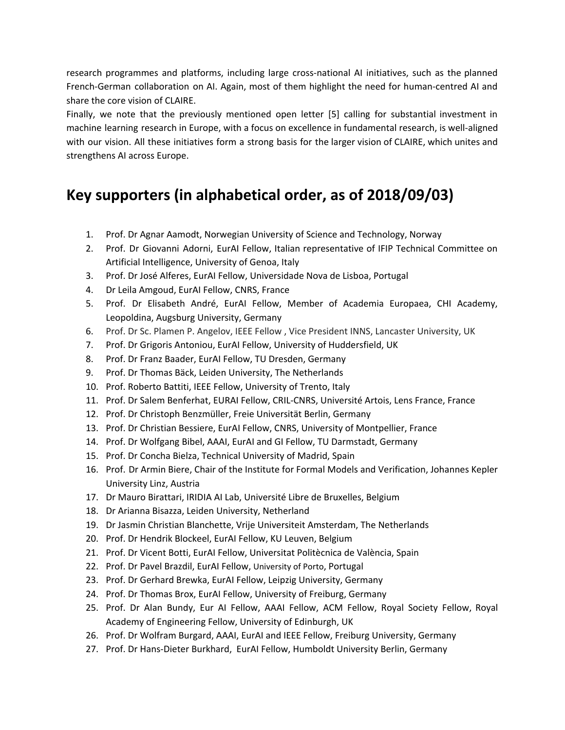research programmes and platforms, including large cross-national AI initiatives, such as the planned French-German collaboration on AI. Again, most of them highlight the need for human-centred AI and share the core vision of CLAIRE.

Finally, we note that the previously mentioned open letter [5] calling for substantial investment in machine learning research in Europe, with a focus on excellence in fundamental research, is well-aligned with our vision. All these initiatives form a strong basis for the larger vision of CLAIRE, which unites and strengthens AI across Europe.

## **Key supporters (in alphabetical order, as of 2018/09/03)**

- 1. Prof. Dr Agnar Aamodt, Norwegian University of Science and Technology, Norway
- 2. Prof. Dr Giovanni Adorni, EurAI Fellow, Italian representative of IFIP Technical Committee on Artificial Intelligence, University of Genoa, Italy
- 3. Prof. Dr José Alferes, EurAI Fellow, Universidade Nova de Lisboa, Portugal
- 4. Dr Leila Amgoud, EurAI Fellow, CNRS, France
- 5. Prof. Dr Elisabeth André, EurAI Fellow, Member of Academia Europaea, CHI Academy, Leopoldina, Augsburg University, Germany
- 6. Prof. Dr Sc. Plamen P. Angelov, IEEE Fellow , Vice President INNS, Lancaster University, UK
- 7. Prof. Dr Grigoris Antoniou, EurAI Fellow, University of Huddersfield, UK
- 8. Prof. Dr Franz Baader, EurAI Fellow, TU Dresden, Germany
- 9. Prof. Dr Thomas Bäck, Leiden University, The Netherlands
- 10. Prof. Roberto Battiti, IEEE Fellow, University of Trento, Italy
- 11. Prof. Dr Salem Benferhat, EURAI Fellow, CRIL-CNRS, Université Artois, Lens France, France
- 12. Prof. Dr Christoph Benzmüller, Freie Universität Berlin, Germany
- 13. Prof. Dr Christian Bessiere, EurAI Fellow, CNRS, University of Montpellier, France
- 14. Prof. Dr Wolfgang Bibel, AAAI, EurAI and GI Fellow, TU Darmstadt, Germany
- 15. Prof. Dr Concha Bielza, Technical University of Madrid, Spain
- 16. Prof. Dr Armin Biere, Chair of the Institute for Formal Models and [Verification](http://fmv.jku.at/index.html), Johannes Kepler University Linz, Austria
- 17. Dr Mauro Birattari, IRIDIA AI Lab, Université Libre de Bruxelles, Belgium
- 18. Dr Arianna Bisazza, Leiden University, Netherland
- 19. Dr Jasmin Christian Blanchette, Vrije Universiteit Amsterdam, The Netherlands
- 20. Prof. Dr Hendrik Blockeel, EurAI Fellow, KU Leuven, Belgium
- 21. Prof. Dr Vicent Botti, EurAI Fellow, Universitat Politècnica de València, Spain
- 22. Prof. Dr Pavel Brazdil, EurAI Fellow, University of Porto, Portugal
- 23. Prof. Dr Gerhard Brewka, EurAI Fellow, Leipzig University, Germany
- 24. Prof. Dr Thomas Brox, EurAI Fellow, University of Freiburg, Germany
- 25. Prof. Dr Alan Bundy, Eur AI Fellow, AAAI Fellow, ACM Fellow, Royal Society Fellow, Royal Academy of Engineering Fellow, University of Edinburgh, UK
- 26. Prof. Dr Wolfram Burgard, AAAI, EurAI and IEEE Fellow, Freiburg University, Germany
- 27. Prof. Dr Hans-Dieter Burkhard, EurAI Fellow, Humboldt University Berlin, Germany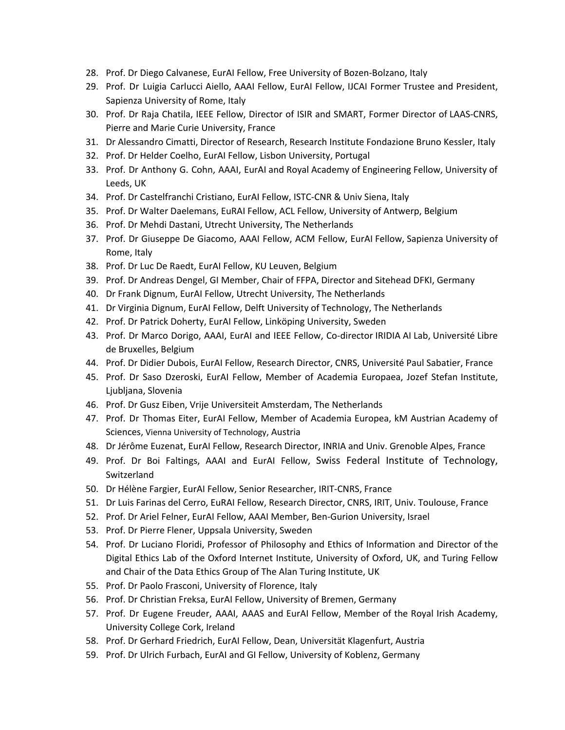- 28. Prof. Dr Diego Calvanese, EurAI Fellow, Free University of Bozen-Bolzano, Italy
- 29. Prof. Dr Luigia Carlucci Aiello, AAAI Fellow, EurAI Fellow, IJCAI Former Trustee and President, Sapienza University of Rome, Italy
- 30. Prof. Dr Raja Chatila, IEEE Fellow, Director of ISIR and SMART, Former Director of LAAS-CNRS, Pierre and Marie Curie University, France
- 31. Dr Alessandro Cimatti, Director of Research, Research Institute Fondazione Bruno Kessler, Italy
- 32. Prof. Dr Helder Coelho, EurAI Fellow, Lisbon University, Portugal
- 33. Prof. Dr Anthony G. Cohn, AAAI, EurAI and Royal Academy of Engineering Fellow, University of Leeds, UK
- 34. Prof. Dr Castelfranchi Cristiano, EurAI Fellow, ISTC-CNR & Univ Siena, Italy
- 35. Prof. Dr Walter Daelemans, EuRAI Fellow, ACL Fellow, University of Antwerp, Belgium
- 36. Prof. Dr Mehdi Dastani, Utrecht University, The Netherlands
- 37. Prof. Dr Giuseppe De Giacomo, AAAI Fellow, ACM Fellow, EurAI Fellow, Sapienza University of Rome, Italy
- 38. Prof. Dr Luc De Raedt, EurAI Fellow, KU Leuven, Belgium
- 39. Prof. Dr Andreas Dengel, GI Member, Chair of FFPA, Director and Sitehead DFKI, Germany
- 40. Dr Frank Dignum, EurAI Fellow, Utrecht University, The Netherlands
- 41. Dr Virginia Dignum, EurAI Fellow, Delft University of Technology, The Netherlands
- 42. Prof. Dr Patrick Doherty, EurAI Fellow, Linköping University, Sweden
- 43. Prof. Dr Marco Dorigo, AAAI, EurAI and IEEE Fellow, Co-director IRIDIA AI Lab, Université Libre de Bruxelles, Belgium
- 44. Prof. Dr Didier Dubois, EurAI Fellow, Research Director, CNRS, Université Paul Sabatier, France
- 45. Prof. Dr Saso Dzeroski, EurAI Fellow, Member of Academia Europaea, Jozef Stefan Institute, Ljubljana, Slovenia
- 46. Prof. Dr Gusz Eiben, Vrije Universiteit Amsterdam, The Netherlands
- 47. Prof. Dr Thomas Eiter, EurAI Fellow, Member of Academia Europea, kM Austrian Academy of Sciences, Vienna University of Technology, Austria
- 48. Dr Jérôme Euzenat, EurAI Fellow, Research Director, INRIA and Univ. Grenoble Alpes, France
- 49. Prof. Dr Boi Faltings, AAAI and EurAI Fellow, Swiss Federal Institute of Technology, **Switzerland**
- 50. Dr Hélène Fargier, EurAI Fellow, Senior Researcher, IRIT-CNRS, France
- 51. Dr Luis Farinas del Cerro, EuRAI Fellow, Research Director, CNRS, IRIT, Univ. Toulouse, France
- 52. Prof. Dr Ariel Felner, EurAI Fellow, AAAI Member, Ben-Gurion University, Israel
- 53. Prof. Dr Pierre Flener, Uppsala University, Sweden
- 54. Prof. Dr Luciano Floridi, Professor of Philosophy and Ethics of Information and Director of the Digital Ethics Lab of the Oxford Internet Institute, University of Oxford, UK, and Turing Fellow and Chair of the Data Ethics Group of The Alan Turing Institute, UK
- 55. Prof. Dr Paolo Frasconi, University of Florence, Italy
- 56. Prof. Dr Christian Freksa, EurAI Fellow, University of Bremen, Germany
- 57. Prof. Dr Eugene Freuder, AAAI, AAAS and EurAI Fellow, Member of the Royal Irish Academy, University College Cork, Ireland
- 58. Prof. Dr Gerhard Friedrich, EurAI Fellow, Dean, Universität Klagenfurt, Austria
- 59. Prof. Dr Ulrich Furbach, EurAI and GI Fellow, University of Koblenz, Germany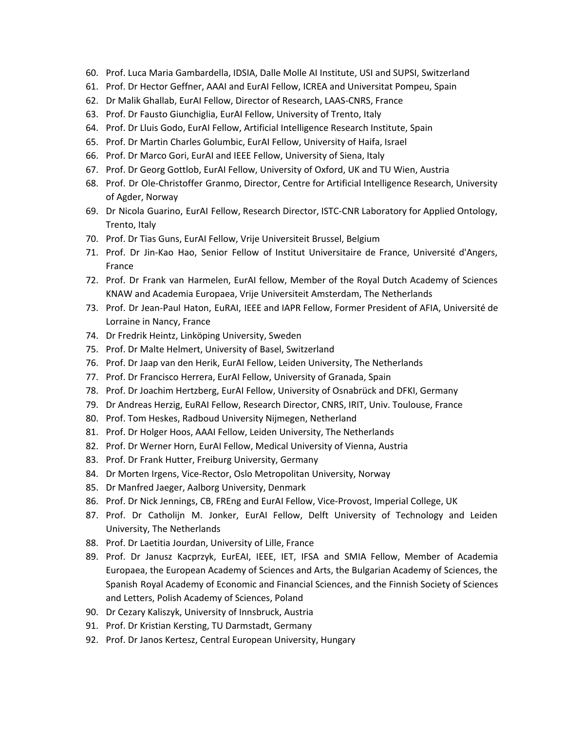- 60. Prof. Luca Maria Gambardella, IDSIA, Dalle Molle AI Institute, USI and SUPSI, Switzerland
- 61. Prof. Dr Hector Geffner, AAAI and EurAI Fellow, ICREA and Universitat Pompeu, Spain
- 62. Dr Malik Ghallab, EurAI Fellow, Director of Research, LAAS-CNRS, France
- 63. Prof. Dr Fausto Giunchiglia, EurAI Fellow, University of Trento, Italy
- 64. Prof. Dr Lluis Godo, EurAI Fellow, Artificial Intelligence Research Institute, Spain
- 65. Prof. Dr Martin Charles Golumbic, EurAI Fellow, University of Haifa, Israel
- 66. Prof. Dr Marco Gori, EurAI and IEEE Fellow, University of Siena, Italy
- 67. Prof. Dr Georg Gottlob, EurAI Fellow, University of Oxford, UK and TU Wien, Austria
- 68. Prof. Dr Ole-Christoffer Granmo, Director, Centre for Artificial Intelligence Research, University of Agder, Norway
- 69. Dr Nicola Guarino, EurAI Fellow, Research Director, ISTC-CNR Laboratory for Applied Ontology, Trento, Italy
- 70. Prof. Dr Tias Guns, EurAI Fellow, Vrije Universiteit Brussel, Belgium
- 71. Prof. Dr Jin-Kao Hao, Senior Fellow of Institut Universitaire de France, Université d'Angers, France
- 72. Prof. Dr Frank van Harmelen, EurAI fellow, Member of the Royal Dutch Academy of Sciences KNAW and Academia Europaea, Vrije Universiteit Amsterdam, The Netherlands
- 73. Prof. Dr Jean-Paul Haton, EuRAI, IEEE and IAPR Fellow, Former President of AFIA, Université de Lorraine in Nancy, France
- 74. Dr Fredrik Heintz, Linköping University, Sweden
- 75. Prof. Dr Malte Helmert, University of Basel, Switzerland
- 76. Prof. Dr Jaap van den Herik, EurAI Fellow, Leiden University, The Netherlands
- 77. Prof. Dr Francisco Herrera, EurAI Fellow, University of Granada, Spain
- 78. Prof. Dr Joachim Hertzberg, EurAI Fellow, University of Osnabrück and DFKI, Germany
- 79. Dr Andreas Herzig, EuRAI Fellow, Research Director, CNRS, IRIT, Univ. Toulouse, France
- 80. Prof. Tom Heskes, Radboud University Nijmegen, Netherland
- 81. Prof. Dr Holger Hoos, AAAI Fellow, Leiden University, The Netherlands
- 82. Prof. Dr Werner Horn, EurAI Fellow, Medical University of Vienna, Austria
- 83. Prof. Dr Frank Hutter, Freiburg University, Germany
- 84. Dr Morten Irgens, Vice-Rector, Oslo Metropolitan University, Norway
- 85. Dr Manfred Jaeger, Aalborg University, Denmark
- 86. Prof. Dr Nick Jennings, CB, FREng and EurAI Fellow, Vice-Provost, Imperial College, UK
- 87. Prof. Dr Catholijn M. Jonker, EurAI Fellow, Delft University of Technology and Leiden University, The Netherlands
- 88. Prof. Dr Laetitia Jourdan, University of Lille, France
- 89. Prof. Dr Janusz Kacprzyk, EurEAI, IEEE, IET, IFSA and SMIA Fellow, Member of Academia Europaea, the European Academy of Sciences and Arts, the Bulgarian Academy of Sciences, the Spanish Royal Academy of Economic and Financial Sciences, and the Finnish Society of Sciences and Letters, Polish Academy of Sciences, Poland
- 90. Dr Cezary Kaliszyk, University of Innsbruck, Austria
- 91. Prof. Dr Kristian Kersting, TU Darmstadt, Germany
- 92. Prof. Dr Janos Kertesz, Central European University, Hungary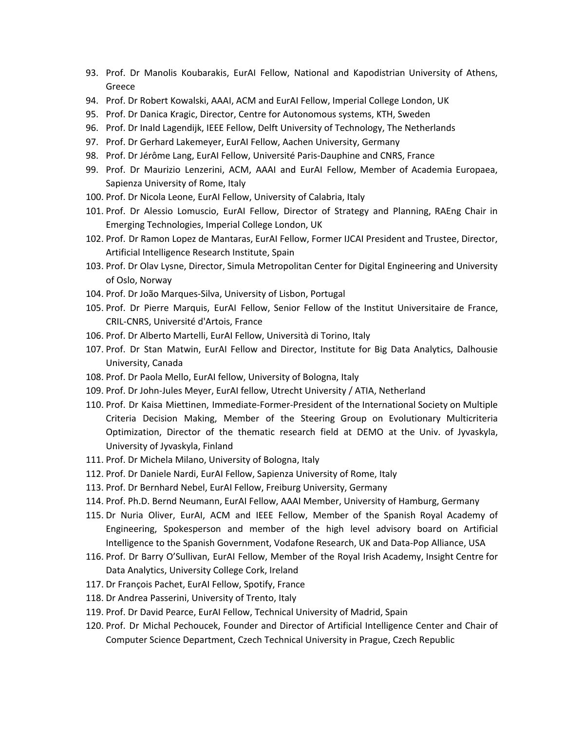- 93. Prof. Dr Manolis Koubarakis, EurAI Fellow, National and Kapodistrian University of Athens, Greece
- 94. Prof. Dr Robert Kowalski, AAAI, ACM and EurAI Fellow, Imperial College London, UK
- 95. Prof. Dr Danica Kragic, Director, Centre for Autonomous systems, KTH, Sweden
- 96. Prof. Dr Inald Lagendijk, [IEEE](https://www.ieee.org/membership_services/membership/fellows/fellowsDirectory.html#) Fellow, Delft University of Technology, The Netherlands
- 97. Prof. Dr Gerhard Lakemeyer, EurAI Fellow, Aachen University, Germany
- 98. Prof. Dr Jérôme Lang, EurAI Fellow, Université Paris-Dauphine and CNRS, France
- 99. Prof. Dr Maurizio Lenzerini, ACM, AAAI and EurAI Fellow, Member of Academia Europaea, Sapienza University of Rome, Italy
- 100. Prof. Dr Nicola Leone, EurAI Fellow, University of Calabria, Italy
- 101. Prof. Dr Alessio Lomuscio, EurAI Fellow, Director of Strategy and Planning, RAEng Chair in Emerging Technologies, Imperial College London, UK
- 102. Prof. Dr Ramon Lopez de Mantaras, EurAI Fellow, Former IJCAI President and Trustee, Director, Artificial Intelligence Research Institute, Spain
- 103. Prof. Dr Olav Lysne, Director, Simula Metropolitan Center for Digital Engineering and University of Oslo, Norway
- 104. Prof. Dr João Marques-Silva, University of Lisbon, Portugal
- 105. Prof. Dr Pierre Marquis, EurAI Fellow, Senior Fellow of the Institut Universitaire de France, CRIL-CNRS, Université d'Artois, France
- 106. Prof. Dr Alberto Martelli, EurAI Fellow, Università di Torino, Italy
- 107. Prof. Dr Stan Matwin, EurAI Fellow and Director, Institute for Big Data Analytics, Dalhousie University, Canada
- 108. Prof. Dr Paola Mello, EurAI fellow, University of Bologna, Italy
- 109. Prof. Dr John-Jules Meyer, EurAI fellow, Utrecht University / ATIA, Netherland
- 110. Prof. Dr Kaisa Miettinen, Immediate-Former-President of the International Society on Multiple Criteria Decision Making, Member of the Steering Group on Evolutionary Multicriteria Optimization, Director of the thematic research field at DEMO at the Univ. of Jyvaskyla, University of Jyvaskyla, Finland
- 111. Prof. Dr Michela Milano, University of Bologna, Italy
- 112. Prof. Dr Daniele Nardi, EurAI Fellow, Sapienza University of Rome, Italy
- 113. Prof. Dr Bernhard Nebel, EurAI Fellow, Freiburg University, Germany
- 114. Prof. Ph.D. Bernd Neumann, EurAI Fellow, AAAI Member, University of Hamburg, Germany
- 115. Dr Nuria Oliver, EurAI, ACM and IEEE Fellow, Member of the Spanish Royal Academy of Engineering, Spokesperson and member of the high level advisory board on Artificial Intelligence to the Spanish Government, Vodafone Research, UK and Data-Pop Alliance, USA
- 116. Prof. Dr Barry O'Sullivan, EurAI Fellow, Member of the Royal Irish Academy, Insight Centre for Data Analytics, University College Cork, Ireland
- 117. Dr François Pachet, EurAI Fellow, Spotify, France
- 118. Dr Andrea Passerini, University of Trento, Italy
- 119. Prof. Dr David Pearce, EurAI Fellow, Technical University of Madrid, Spain
- 120. Prof. Dr Michal Pechoucek, Founder and Director of Artificial Intelligence Center and Chair of Computer Science Department, Czech Technical University in Prague, Czech Republic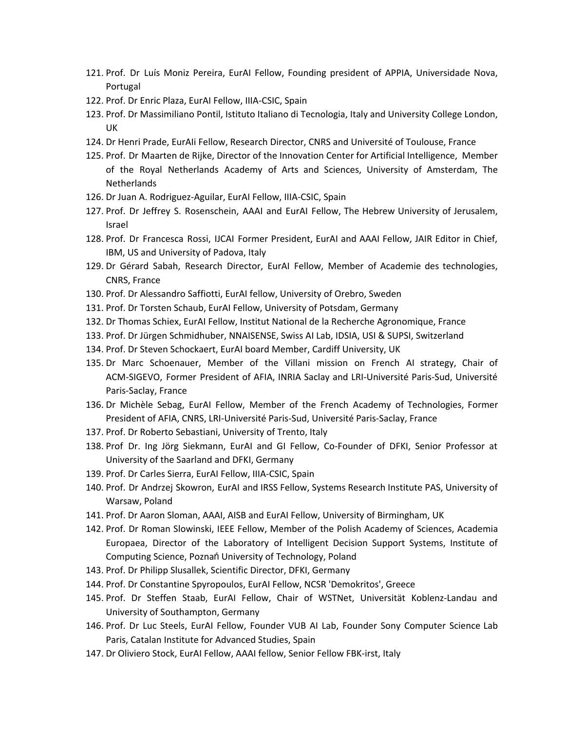- 121. Prof. Dr Luís Moniz Pereira, EurAI Fellow, Founding president of APPIA, Universidade Nova, Portugal
- 122. Prof. Dr Enric Plaza, EurAI Fellow, IIIA-CSIC, Spain
- 123. Prof. Dr Massimiliano Pontil, Istituto Italiano di Tecnologia, Italy and University College London, UK
- 124. Dr Henri Prade, EurAIi Fellow, Research Director, CNRS and Université of Toulouse, France
- 125. Prof. Dr Maarten de Rijke, Director of the Innovation Center for Artificial Intelligence, Member of the Royal Netherlands Academy of Arts and Sciences, University of Amsterdam, The **Netherlands**
- 126. Dr Juan A. Rodriguez-Aguilar, EurAI Fellow, IIIA-CSIC, Spain
- 127. Prof. Dr Jeffrey S. Rosenschein, AAAI and EurAI Fellow, The Hebrew University of Jerusalem, Israel
- 128. Prof. Dr Francesca Rossi, IJCAI Former President, EurAI and AAAI Fellow, JAIR Editor in Chief, IBM, US and University of Padova, Italy
- 129. Dr Gérard Sabah, Research Director, EurAI Fellow, Member of Academie des technologies, CNRS, France
- 130. Prof. Dr Alessandro Saffiotti, EurAI fellow, University of Orebro, Sweden
- 131. Prof. Dr Torsten Schaub, EurAI Fellow, University of Potsdam, Germany
- 132. Dr Thomas Schiex, EurAI Fellow, Institut National de la Recherche Agronomique, France
- 133. Prof. Dr Jürgen Schmidhuber, NNAISENSE, Swiss AI Lab, IDSIA, USI & SUPSI, Switzerland
- 134. Prof. Dr Steven Schockaert, EurAI board Member, Cardiff University, UK
- 135. Dr Marc Schoenauer, Member of the Villani mission on French AI strategy, Chair of ACM-SIGEVO, Former President of AFIA, INRIA Saclay and LRI-Université Paris-Sud, Université Paris-Saclay, France
- 136. Dr Michèle Sebag, EurAI Fellow, Member of the French Academy of Technologies, Former President of AFIA, CNRS, LRI-Université Paris-Sud, Université Paris-Saclay, France
- 137. Prof. Dr Roberto Sebastiani, University of Trento, Italy
- 138. Prof Dr. Ing Jörg Siekmann, EurAI and GI Fellow, Co-Founder of DFKI, Senior Professor at University of the Saarland and DFKI, Germany
- 139. Prof. Dr Carles Sierra, EurAI Fellow, IIIA-CSIC, Spain
- 140. Prof. Dr Andrzej Skowron, EurAI and IRSS Fellow, Systems Research Institute PAS, University of Warsaw, Poland
- 141. Prof. Dr Aaron Sloman, AAAI, AISB and EurAI Fellow, University of Birmingham, UK
- 142. Prof. Dr Roman Slowinski, IEEE Fellow, Member of the Polish Academy of Sciences, Academia Europaea, Director of the Laboratory of Intelligent Decision Support Systems, Institute of Computing Science, Poznań University of Technology, Poland
- 143. Prof. Dr Philipp Slusallek, Scientific Director, DFKI, Germany
- 144. Prof. Dr Constantine Spyropoulos, EurAI Fellow, NCSR 'Demokritos', Greece
- 145. Prof. Dr Steffen Staab, EurAI Fellow, Chair of WSTNet, Universität Koblenz-Landau and University of Southampton, Germany
- 146. Prof. Dr Luc Steels, EurAI Fellow, Founder VUB AI Lab, Founder Sony Computer Science Lab Paris, Catalan Institute for Advanced Studies, Spain
- 147. Dr Oliviero Stock, EurAI Fellow, AAAI fellow, Senior Fellow FBK-irst, Italy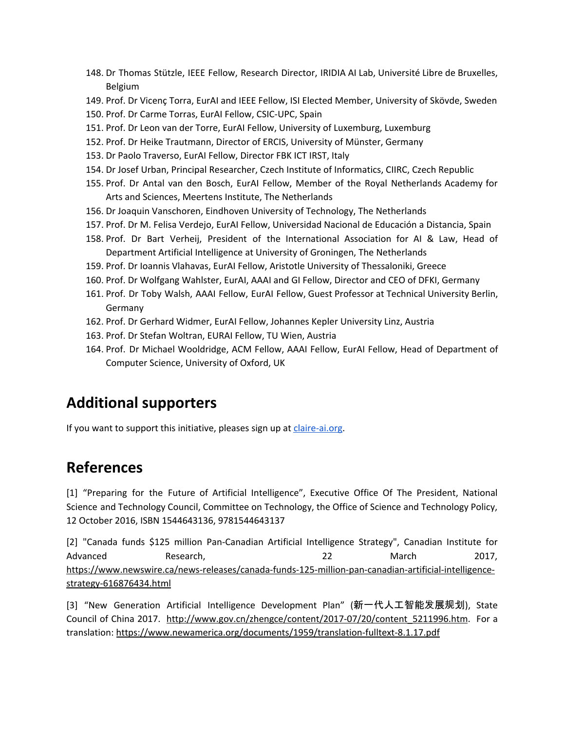- 148. Dr Thomas Stützle, IEEE Fellow, Research Director, IRIDIA AI Lab, Université Libre de Bruxelles, Belgium
- 149. Prof. Dr Vicenç Torra, EurAI and IEEE Fellow, ISI Elected Member, University of Skövde, Sweden
- 150. Prof. Dr Carme Torras, EurAI Fellow, CSIC-UPC, Spain
- 151. Prof. Dr Leon van der Torre, EurAI Fellow, University of Luxemburg, Luxemburg
- 152. Prof. Dr Heike Trautmann, Director of ERCIS, University of Münster, Germany
- 153. Dr Paolo Traverso, EurAI Fellow, Director FBK ICT IRST, Italy
- 154. Dr Josef Urban, Principal Researcher, Czech Institute of Informatics, CIIRC, Czech Republic
- 155. Prof. Dr Antal van den Bosch, EurAI Fellow, Member of the Royal Netherlands Academy for Arts and Sciences, Meertens Institute, The Netherlands
- 156. Dr Joaquin Vanschoren, Eindhoven University of Technology, The Netherlands
- 157. Prof. Dr M. Felisa Verdejo, EurAI Fellow, Universidad Nacional de Educación a Distancia, Spain
- 158. Prof. Dr Bart Verheij, President of the International Association for AI & Law, Head of Department Artificial Intelligence at University of Groningen, The Netherlands
- 159. Prof. Dr Ioannis Vlahavas, EurAI Fellow, Aristotle University of Thessaloniki, Greece
- 160. Prof. Dr Wolfgang Wahlster, EurAI, AAAI and GI Fellow, Director and CEO of DFKI, Germany
- 161. Prof. Dr Toby Walsh, AAAI Fellow, EurAI Fellow, Guest Professor at Technical University Berlin, Germany
- 162. Prof. Dr Gerhard Widmer, EurAI Fellow, Johannes Kepler University Linz, Austria
- 163. Prof. Dr Stefan Woltran, EURAI Fellow, TU Wien, Austria
- 164. Prof. Dr Michael Wooldridge, ACM Fellow, AAAI Fellow, EurAI Fellow, Head of Department of Computer Science, University of Oxford, UK

#### **Additional supporters**

If you want to support this initiative, pleases sign up at *[claire-ai.org](http://claire-ai.org/)*.

#### **References**

[1] "Preparing for the Future of Artificial Intelligence", Executive Office Of The President, National Science and Technology Council, Committee on Technology, the Office of Science and Technology Policy, 12 October 2016, ISBN 1544643136, 9781544643137

[2] "Canada funds \$125 million Pan-Canadian Artificial Intelligence Strategy", Canadian Institute for Advanced Research, 22 March 2017, [https://www.newswire.ca/news-releases/canada-funds-125-million-pan-canadian-artificial-intelligence](https://www.newswire.ca/news-releases/canada-funds-125-million-pan-canadian-artificial-intelligence-strategy-616876434.html)[strategy-616876434.html](https://www.newswire.ca/news-releases/canada-funds-125-million-pan-canadian-artificial-intelligence-strategy-616876434.html)

[3] "New Generation Artificial Intelligence Development Plan" (新一代人工智能发展规划), State Council of China 2017. http://www.gov.cn/zhengce/content/2017-07/20/content 5211996.htm. For a translation: <https://www.newamerica.org/documents/1959/translation-fulltext-8.1.17.pdf>